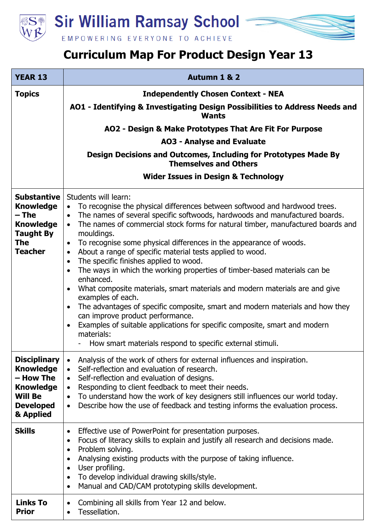

EMPOWERING EVERYONE TO ACHIEVE

## **Curriculum Map For Product Design Year 13**

| <b>YEAR 13</b>                                                                                                              | Autumn 1 & 2                                                                                                                                                                                                                                                                                                                                                                                                                                                                                                                                                                                                                                                                                                                                                                                                                                                                                                                                                                                                              |
|-----------------------------------------------------------------------------------------------------------------------------|---------------------------------------------------------------------------------------------------------------------------------------------------------------------------------------------------------------------------------------------------------------------------------------------------------------------------------------------------------------------------------------------------------------------------------------------------------------------------------------------------------------------------------------------------------------------------------------------------------------------------------------------------------------------------------------------------------------------------------------------------------------------------------------------------------------------------------------------------------------------------------------------------------------------------------------------------------------------------------------------------------------------------|
| <b>Topics</b>                                                                                                               | <b>Independently Chosen Context - NEA</b>                                                                                                                                                                                                                                                                                                                                                                                                                                                                                                                                                                                                                                                                                                                                                                                                                                                                                                                                                                                 |
|                                                                                                                             | AO1 - Identifying & Investigating Design Possibilities to Address Needs and<br><b>Wants</b>                                                                                                                                                                                                                                                                                                                                                                                                                                                                                                                                                                                                                                                                                                                                                                                                                                                                                                                               |
|                                                                                                                             | AO2 - Design & Make Prototypes That Are Fit For Purpose                                                                                                                                                                                                                                                                                                                                                                                                                                                                                                                                                                                                                                                                                                                                                                                                                                                                                                                                                                   |
|                                                                                                                             | <b>AO3 - Analyse and Evaluate</b>                                                                                                                                                                                                                                                                                                                                                                                                                                                                                                                                                                                                                                                                                                                                                                                                                                                                                                                                                                                         |
|                                                                                                                             | Design Decisions and Outcomes, Including for Prototypes Made By<br><b>Themselves and Others</b>                                                                                                                                                                                                                                                                                                                                                                                                                                                                                                                                                                                                                                                                                                                                                                                                                                                                                                                           |
|                                                                                                                             | <b>Wider Issues in Design &amp; Technology</b>                                                                                                                                                                                                                                                                                                                                                                                                                                                                                                                                                                                                                                                                                                                                                                                                                                                                                                                                                                            |
| <b>Substantive</b><br><b>Knowledge</b><br>$-$ The<br><b>Knowledge</b><br><b>Taught By</b><br><b>The</b><br><b>Teacher</b>   | Students will learn:<br>To recognise the physical differences between softwood and hardwood trees.<br>The names of several specific softwoods, hardwoods and manufactured boards.<br>$\bullet$<br>The names of commercial stock forms for natural timber, manufactured boards and<br>mouldings.<br>To recognise some physical differences in the appearance of woods.<br>$\bullet$<br>About a range of specific material tests applied to wood.<br>$\bullet$<br>The specific finishes applied to wood.<br>$\bullet$<br>The ways in which the working properties of timber-based materials can be<br>enhanced.<br>What composite materials, smart materials and modern materials are and give<br>examples of each.<br>The advantages of specific composite, smart and modern materials and how they<br>$\bullet$<br>can improve product performance.<br>Examples of suitable applications for specific composite, smart and modern<br>$\bullet$<br>materials:<br>How smart materials respond to specific external stimuli. |
| <b>Disciplinary</b><br><b>Knowledge</b><br>- How The<br><b>Knowledge</b><br><b>Will Be</b><br><b>Developed</b><br>& Applied | Analysis of the work of others for external influences and inspiration.<br>Self-reflection and evaluation of research.<br>$\bullet$<br>Self-reflection and evaluation of designs.<br>$\bullet$<br>Responding to client feedback to meet their needs.<br>$\bullet$<br>To understand how the work of key designers still influences our world today.<br>$\bullet$<br>Describe how the use of feedback and testing informs the evaluation process.<br>$\bullet$                                                                                                                                                                                                                                                                                                                                                                                                                                                                                                                                                              |
| <b>Skills</b>                                                                                                               | Effective use of PowerPoint for presentation purposes.<br>$\bullet$<br>Focus of literacy skills to explain and justify all research and decisions made.<br>Problem solving.<br>$\bullet$<br>Analysing existing products with the purpose of taking influence.<br>User profiling.<br>$\bullet$<br>To develop individual drawing skills/style.<br>Manual and CAD/CAM prototyping skills development.<br>$\bullet$                                                                                                                                                                                                                                                                                                                                                                                                                                                                                                                                                                                                           |
| <b>Links To</b><br><b>Prior</b>                                                                                             | Combining all skills from Year 12 and below.<br>$\bullet$<br>Tessellation.                                                                                                                                                                                                                                                                                                                                                                                                                                                                                                                                                                                                                                                                                                                                                                                                                                                                                                                                                |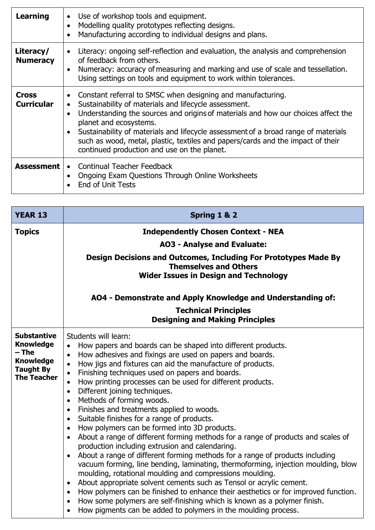| <b>Learning</b>                   | Use of workshop tools and equipment.<br>$\bullet$<br>Modelling quality prototypes reflecting designs.<br>$\bullet$<br>Manufacturing according to individual designs and plans.                                                                                                                                                                                                                                                                                                        |
|-----------------------------------|---------------------------------------------------------------------------------------------------------------------------------------------------------------------------------------------------------------------------------------------------------------------------------------------------------------------------------------------------------------------------------------------------------------------------------------------------------------------------------------|
| Literacy/<br><b>Numeracy</b>      | Literacy: ongoing self-reflection and evaluation, the analysis and comprehension<br>$\bullet$<br>of feedback from others.<br>Numeracy: accuracy of measuring and marking and use of scale and tessellation.<br>Using settings on tools and equipment to work within tolerances.                                                                                                                                                                                                       |
| <b>Cross</b><br><b>Curricular</b> | Constant referral to SMSC when designing and manufacturing.<br>Sustainability of materials and lifecycle assessment.<br>$\bullet$<br>Understanding the sources and origins of materials and how our choices affect the<br>planet and ecosystems.<br>Sustainability of materials and lifecycle assessment of a broad range of materials<br>$\bullet$<br>such as wood, metal, plastic, textiles and papers/cards and the impact of their<br>continued production and use on the planet. |
| <b>Assessment</b>                 | • Continual Teacher Feedback<br>Ongoing Exam Questions Through Online Worksheets<br><b>End of Unit Tests</b>                                                                                                                                                                                                                                                                                                                                                                          |

| <b>YEAR 13</b>                                                                                                | Spring 1 & 2                                                                                                                                                                                                                                                                                                                                                                                                                                                                                                                                                                                                                                                                                                                                                                                                                                                                                                                                                                                                                                                                                                                                                                                                                                                                                                                                                                                                                   |
|---------------------------------------------------------------------------------------------------------------|--------------------------------------------------------------------------------------------------------------------------------------------------------------------------------------------------------------------------------------------------------------------------------------------------------------------------------------------------------------------------------------------------------------------------------------------------------------------------------------------------------------------------------------------------------------------------------------------------------------------------------------------------------------------------------------------------------------------------------------------------------------------------------------------------------------------------------------------------------------------------------------------------------------------------------------------------------------------------------------------------------------------------------------------------------------------------------------------------------------------------------------------------------------------------------------------------------------------------------------------------------------------------------------------------------------------------------------------------------------------------------------------------------------------------------|
| <b>Topics</b>                                                                                                 | <b>Independently Chosen Context - NEA</b>                                                                                                                                                                                                                                                                                                                                                                                                                                                                                                                                                                                                                                                                                                                                                                                                                                                                                                                                                                                                                                                                                                                                                                                                                                                                                                                                                                                      |
|                                                                                                               | <b>AO3 - Analyse and Evaluate:</b>                                                                                                                                                                                                                                                                                                                                                                                                                                                                                                                                                                                                                                                                                                                                                                                                                                                                                                                                                                                                                                                                                                                                                                                                                                                                                                                                                                                             |
|                                                                                                               | Design Decisions and Outcomes, Including For Prototypes Made By<br><b>Themselves and Others</b><br><b>Wider Issues in Design and Technology</b>                                                                                                                                                                                                                                                                                                                                                                                                                                                                                                                                                                                                                                                                                                                                                                                                                                                                                                                                                                                                                                                                                                                                                                                                                                                                                |
|                                                                                                               | AO4 - Demonstrate and Apply Knowledge and Understanding of:                                                                                                                                                                                                                                                                                                                                                                                                                                                                                                                                                                                                                                                                                                                                                                                                                                                                                                                                                                                                                                                                                                                                                                                                                                                                                                                                                                    |
|                                                                                                               | <b>Technical Principles</b><br><b>Designing and Making Principles</b>                                                                                                                                                                                                                                                                                                                                                                                                                                                                                                                                                                                                                                                                                                                                                                                                                                                                                                                                                                                                                                                                                                                                                                                                                                                                                                                                                          |
| <b>Substantive</b><br><b>Knowledge</b><br>– The<br><b>Knowledge</b><br><b>Taught By</b><br><b>The Teacher</b> | Students will learn:<br>How papers and boards can be shaped into different products.<br>$\bullet$<br>How adhesives and fixings are used on papers and boards.<br>$\bullet$<br>How jigs and fixtures can aid the manufacture of products.<br>$\bullet$<br>Finishing techniques used on papers and boards.<br>$\bullet$<br>How printing processes can be used for different products.<br>$\bullet$<br>Different joining techniques.<br>$\bullet$<br>Methods of forming woods.<br>$\bullet$<br>Finishes and treatments applied to woods.<br>$\bullet$<br>Suitable finishes for a range of products.<br>$\bullet$<br>How polymers can be formed into 3D products.<br>$\bullet$<br>About a range of different forming methods for a range of products and scales of<br>$\bullet$<br>production including extrusion and calendaring.<br>About a range of different forming methods for a range of products including<br>vacuum forming, line bending, laminating, thermoforming, injection moulding, blow<br>moulding, rotational moulding and compressions moulding.<br>About appropriate solvent cements such as Tensol or acrylic cement.<br>$\bullet$<br>How polymers can be finished to enhance their aesthetics or for improved function.<br>$\bullet$<br>How some polymers are self-finishing which is known as a polymer finish.<br>$\bullet$<br>How pigments can be added to polymers in the moulding process.<br>$\bullet$ |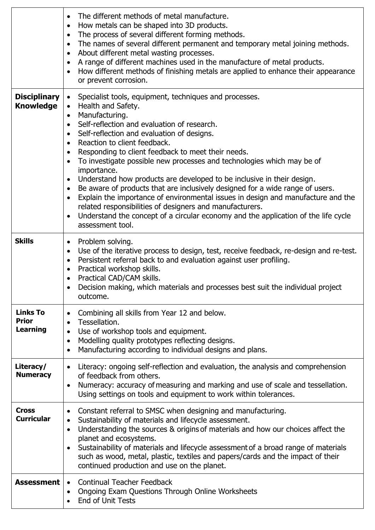|                                             | The different methods of metal manufacture.<br>$\bullet$<br>How metals can be shaped into 3D products.<br>$\bullet$<br>The process of several different forming methods.<br>$\bullet$<br>The names of several different permanent and temporary metal joining methods.<br>$\bullet$<br>About different metal wasting processes.<br>$\bullet$<br>A range of different machines used in the manufacture of metal products.<br>$\bullet$<br>How different methods of finishing metals are applied to enhance their appearance<br>$\bullet$<br>or prevent corrosion.                                                                                                                                                                                                                                                                                                                                                                                 |
|---------------------------------------------|--------------------------------------------------------------------------------------------------------------------------------------------------------------------------------------------------------------------------------------------------------------------------------------------------------------------------------------------------------------------------------------------------------------------------------------------------------------------------------------------------------------------------------------------------------------------------------------------------------------------------------------------------------------------------------------------------------------------------------------------------------------------------------------------------------------------------------------------------------------------------------------------------------------------------------------------------|
| <b>Disciplinary</b><br><b>Knowledge</b>     | Specialist tools, equipment, techniques and processes.<br>$\bullet$<br>• Health and Safety.<br>Manufacturing.<br>$\bullet$<br>Self-reflection and evaluation of research.<br>$\bullet$<br>Self-reflection and evaluation of designs.<br>$\bullet$<br>Reaction to client feedback.<br>$\bullet$<br>Responding to client feedback to meet their needs.<br>$\bullet$<br>To investigate possible new processes and technologies which may be of<br>$\bullet$<br>importance.<br>Understand how products are developed to be inclusive in their design.<br>$\bullet$<br>Be aware of products that are inclusively designed for a wide range of users.<br>$\bullet$<br>Explain the importance of environmental issues in design and manufacture and the<br>$\bullet$<br>related responsibilities of designers and manufacturers.<br>Understand the concept of a circular economy and the application of the life cycle<br>$\bullet$<br>assessment tool. |
| <b>Skills</b>                               | Problem solving.<br>$\bullet$<br>Use of the iterative process to design, test, receive feedback, re-design and re-test.<br>$\bullet$<br>Persistent referral back to and evaluation against user profiling.<br>$\bullet$<br>Practical workshop skills.<br>$\bullet$<br>Practical CAD/CAM skills.<br>$\bullet$<br>Decision making, which materials and processes best suit the individual project<br>$\bullet$<br>outcome.                                                                                                                                                                                                                                                                                                                                                                                                                                                                                                                         |
| <b>Links To</b><br><b>Prior</b><br>Learning | Combining all skills from Year 12 and below.<br>$\bullet$<br>Tessellation.<br>$\bullet$<br>Use of workshop tools and equipment.<br>$\bullet$<br>Modelling quality prototypes reflecting designs.<br>$\bullet$<br>Manufacturing according to individual designs and plans.<br>$\bullet$                                                                                                                                                                                                                                                                                                                                                                                                                                                                                                                                                                                                                                                           |
| Literacy/<br><b>Numeracy</b>                | Literacy: ongoing self-reflection and evaluation, the analysis and comprehension<br>$\bullet$<br>of feedback from others.<br>Numeracy: accuracy of measuring and marking and use of scale and tessellation.<br>$\bullet$<br>Using settings on tools and equipment to work within tolerances.                                                                                                                                                                                                                                                                                                                                                                                                                                                                                                                                                                                                                                                     |
| <b>Cross</b><br><b>Curricular</b>           | Constant referral to SMSC when designing and manufacturing.<br>$\bullet$<br>Sustainability of materials and lifecycle assessment.<br>$\bullet$<br>Understanding the sources & origins of materials and how our choices affect the<br>$\bullet$<br>planet and ecosystems.<br>Sustainability of materials and lifecycle assessment of a broad range of materials<br>$\bullet$<br>such as wood, metal, plastic, textiles and papers/cards and the impact of their<br>continued production and use on the planet.                                                                                                                                                                                                                                                                                                                                                                                                                                    |
| <b>Assessment</b>                           | • Continual Teacher Feedback<br>Ongoing Exam Questions Through Online Worksheets<br>$\bullet$<br>End of Unit Tests                                                                                                                                                                                                                                                                                                                                                                                                                                                                                                                                                                                                                                                                                                                                                                                                                               |